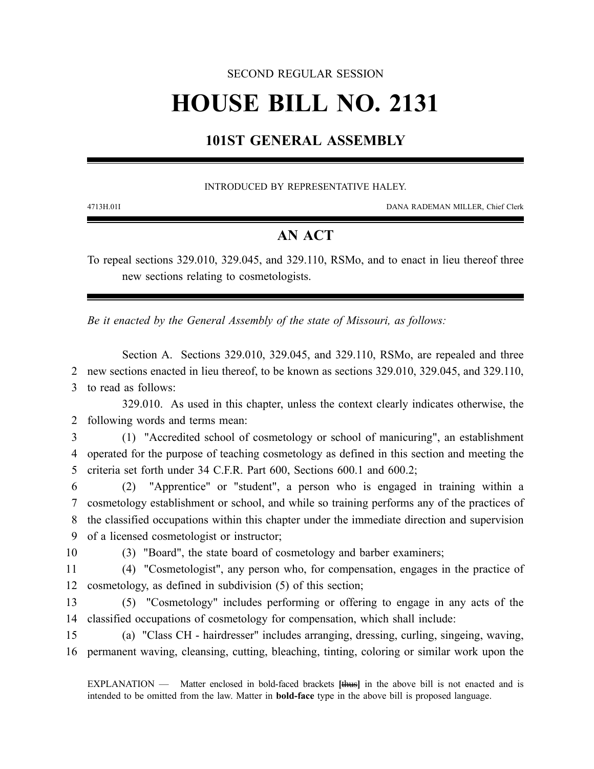### SECOND REGULAR SESSION

# **HOUSE BILL NO. 2131**

## **101ST GENERAL ASSEMBLY**

#### INTRODUCED BY REPRESENTATIVE HALEY.

4713H.01I DANA RADEMAN MILLER, Chief Clerk

## **AN ACT**

To repeal sections 329.010, 329.045, and 329.110, RSMo, and to enact in lieu thereof three new sections relating to cosmetologists.

*Be it enacted by the General Assembly of the state of Missouri, as follows:*

Section A. Sections 329.010, 329.045, and 329.110, RSMo, are repealed and three 2 new sections enacted in lieu thereof, to be known as sections 329.010, 329.045, and 329.110, 3 to read as follows:

329.010. As used in this chapter, unless the context clearly indicates otherwise, the 2 following words and terms mean:

3 (1) "Accredited school of cosmetology or school of manicuring", an establishment 4 operated for the purpose of teaching cosmetology as defined in this section and meeting the 5 criteria set forth under 34 C.F.R. Part 600, Sections 600.1 and 600.2;

 (2) "Apprentice" or "student", a person who is engaged in training within a cosmetology establishment or school, and while so training performs any of the practices of the classified occupations within this chapter under the immediate direction and supervision of a licensed cosmetologist or instructor;

10 (3) "Board", the state board of cosmetology and barber examiners;

11 (4) "Cosmetologist", any person who, for compensation, engages in the practice of 12 cosmetology, as defined in subdivision (5) of this section;

13 (5) "Cosmetology" includes performing or offering to engage in any acts of the 14 classified occupations of cosmetology for compensation, which shall include:

15 (a) "Class CH - hairdresser" includes arranging, dressing, curling, singeing, waving, 16 permanent waving, cleansing, cutting, bleaching, tinting, coloring or similar work upon the

EXPLANATION — Matter enclosed in bold-faced brackets **[**thus**]** in the above bill is not enacted and is intended to be omitted from the law. Matter in **bold-face** type in the above bill is proposed language.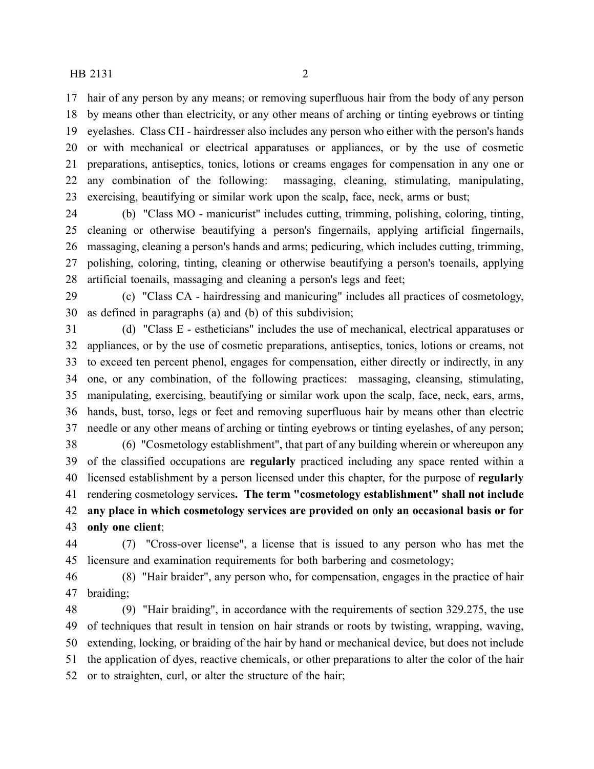#### HB 2131 2

 hair of any person by any means; or removing superfluous hair from the body of any person by means other than electricity, or any other means of arching or tinting eyebrows or tinting eyelashes. Class CH - hairdresser also includes any person who either with the person's hands or with mechanical or electrical apparatuses or appliances, or by the use of cosmetic preparations, antiseptics, tonics, lotions or creams engages for compensation in any one or any combination of the following: massaging, cleaning, stimulating, manipulating, exercising, beautifying or similar work upon the scalp, face, neck, arms or bust;

 (b) "Class MO - manicurist" includes cutting, trimming, polishing, coloring, tinting, cleaning or otherwise beautifying a person's fingernails, applying artificial fingernails, massaging, cleaning a person's hands and arms; pedicuring, which includes cutting, trimming, polishing, coloring, tinting, cleaning or otherwise beautifying a person's toenails, applying artificial toenails, massaging and cleaning a person's legs and feet;

 (c) "Class CA - hairdressing and manicuring" includes all practices of cosmetology, as defined in paragraphs (a) and (b) of this subdivision;

 (d) "Class E - estheticians" includes the use of mechanical, electrical apparatuses or appliances, or by the use of cosmetic preparations, antiseptics, tonics, lotions or creams, not to exceed ten percent phenol, engages for compensation, either directly or indirectly, in any one, or any combination, of the following practices: massaging, cleansing, stimulating, manipulating, exercising, beautifying or similar work upon the scalp, face, neck, ears, arms, hands, bust, torso, legs or feet and removing superfluous hair by means other than electric needle or any other means of arching or tinting eyebrows or tinting eyelashes, of any person;

 (6) "Cosmetology establishment", that part of any building wherein or whereupon any of the classified occupations are **regularly** practiced including any space rented within a licensed establishment by a person licensed under this chapter, for the purpose of **regularly** rendering cosmetology services**. The term "cosmetology establishment" shall not include any place in which cosmetology services are provided on only an occasional basis or for only one client**;

 (7) "Cross-over license", a license that is issued to any person who has met the licensure and examination requirements for both barbering and cosmetology;

 (8) "Hair braider", any person who, for compensation, engages in the practice of hair braiding;

 (9) "Hair braiding", in accordance with the requirements of section 329.275, the use of techniques that result in tension on hair strands or roots by twisting, wrapping, waving, extending, locking, or braiding of the hair by hand or mechanical device, but does not include the application of dyes, reactive chemicals, or other preparations to alter the color of the hair or to straighten, curl, or alter the structure of the hair;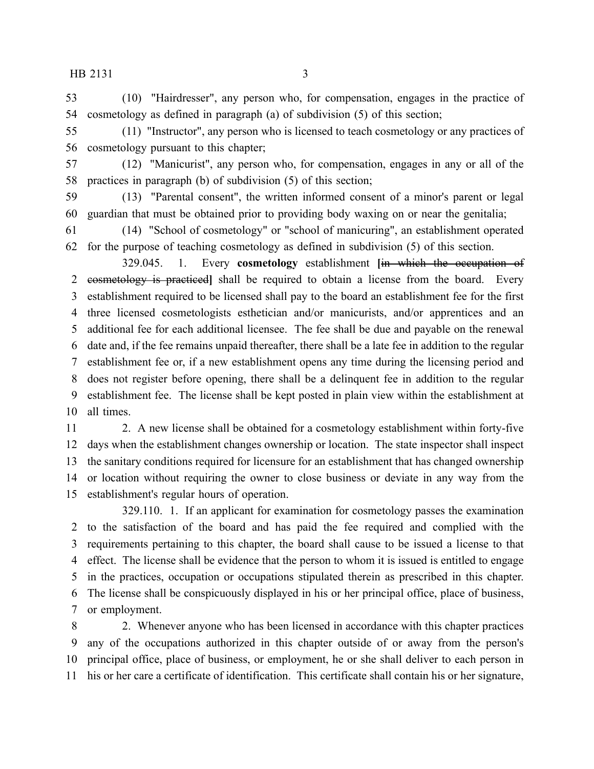$HB 2131$  3

 (10) "Hairdresser", any person who, for compensation, engages in the practice of cosmetology as defined in paragraph (a) of subdivision (5) of this section;

 (11) "Instructor", any person who is licensed to teach cosmetology or any practices of cosmetology pursuant to this chapter;

 (12) "Manicurist", any person who, for compensation, engages in any or all of the practices in paragraph (b) of subdivision (5) of this section;

 (13) "Parental consent", the written informed consent of a minor's parent or legal guardian that must be obtained prior to providing body waxing on or near the genitalia;

 (14) "School of cosmetology" or "school of manicuring", an establishment operated for the purpose of teaching cosmetology as defined in subdivision (5) of this section.

329.045. 1. Every **cosmetology** establishment **[**in which the occupation of cosmetology is practiced**]** shall be required to obtain a license from the board. Every establishment required to be licensed shall pay to the board an establishment fee for the first three licensed cosmetologists esthetician and/or manicurists, and/or apprentices and an additional fee for each additional licensee. The fee shall be due and payable on the renewal date and, if the fee remains unpaid thereafter, there shall be a late fee in addition to the regular establishment fee or, if a new establishment opens any time during the licensing period and does not register before opening, there shall be a delinquent fee in addition to the regular establishment fee. The license shall be kept posted in plain view within the establishment at all times.

 2. A new license shall be obtained for a cosmetology establishment within forty-five days when the establishment changes ownership or location. The state inspector shall inspect the sanitary conditions required for licensure for an establishment that has changed ownership or location without requiring the owner to close business or deviate in any way from the establishment's regular hours of operation.

329.110. 1. If an applicant for examination for cosmetology passes the examination to the satisfaction of the board and has paid the fee required and complied with the requirements pertaining to this chapter, the board shall cause to be issued a license to that effect. The license shall be evidence that the person to whom it is issued is entitled to engage in the practices, occupation or occupations stipulated therein as prescribed in this chapter. The license shall be conspicuously displayed in his or her principal office, place of business, or employment.

 2. Whenever anyone who has been licensed in accordance with this chapter practices any of the occupations authorized in this chapter outside of or away from the person's principal office, place of business, or employment, he or she shall deliver to each person in his or her care a certificate of identification. This certificate shall contain his or her signature,